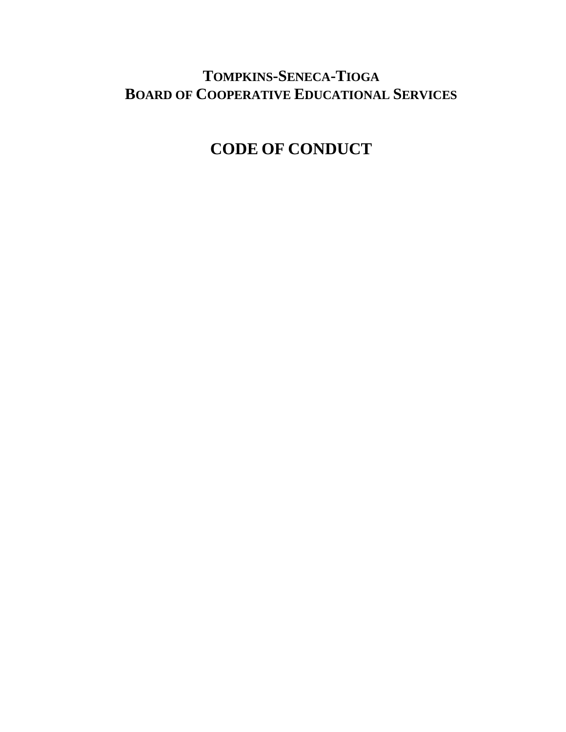## **TOMPKINS-SENECA-TIOGA BOARD OF COOPERATIVE EDUCATIONAL SERVICES**

# **CODE OF CONDUCT**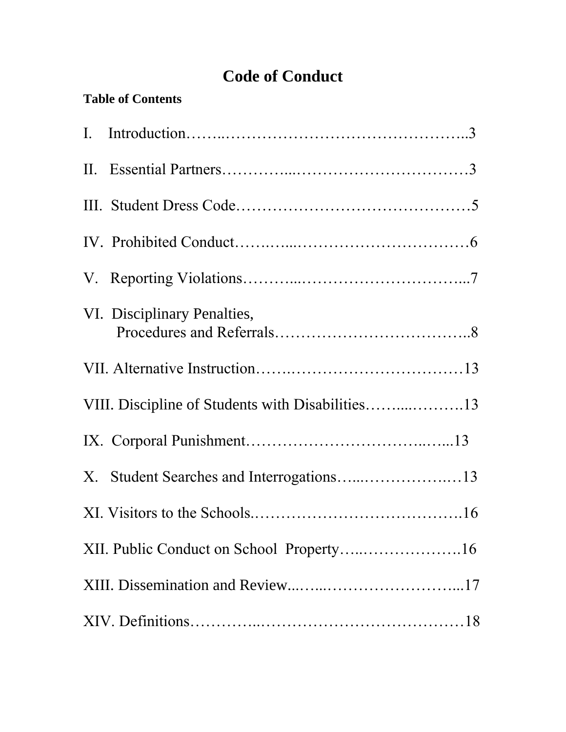# **Code of Conduct**

| <b>Table of Contents</b> |  |
|--------------------------|--|
|--------------------------|--|

| VI. Disciplinary Penalties,                      |
|--------------------------------------------------|
|                                                  |
| VIII. Discipline of Students with Disabilities13 |
|                                                  |
| X. Student Searches and Interrogations13         |
|                                                  |
| XII. Public Conduct on School Property16         |
|                                                  |
|                                                  |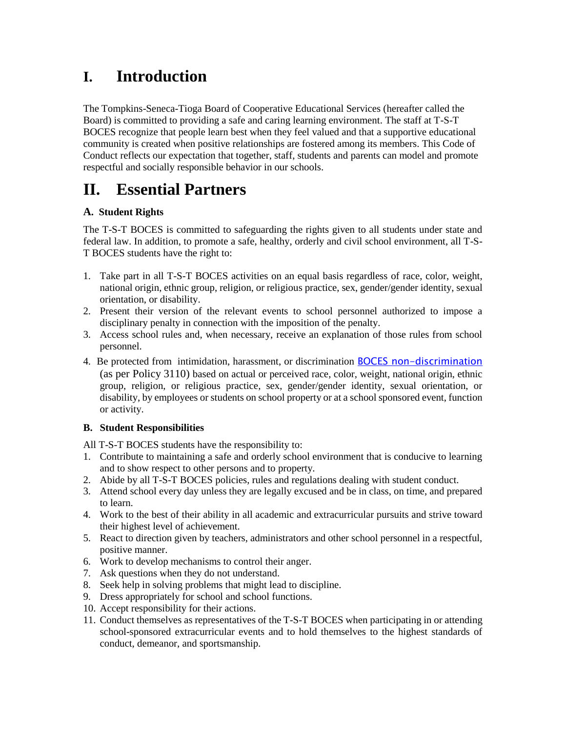## **I. Introduction**

The Tompkins-Seneca-Tioga Board of Cooperative Educational Services (hereafter called the Board) is committed to providing a safe and caring learning environment. The staff at T-S-T BOCES recognize that people learn best when they feel valued and that a supportive educational community is created when positive relationships are fostered among its members. This Code of Conduct reflects our expectation that together, staff, students and parents can model and promote respectful and socially responsible behavior in our schools.

## **II. Essential Partners**

### **A. Student Rights**

The T-S-T BOCES is committed to safeguarding the rights given to all students under state and federal law. In addition, to promote a safe, healthy, orderly and civil school environment, all T-S-T BOCES students have the right to:

- 1. Take part in all T-S-T BOCES activities on an equal basis regardless of race, color, weight, national origin, ethnic group, religion, or religious practice, sex, gender/gender identity, sexual orientation, or disability.
- 2. Present their version of the relevant events to school personnel authorized to impose a disciplinary penalty in connection with the imposition of the penalty.
- 3. Access school rules and, when necessary, receive an explanation of those rules from school personnel.
- 4. Be protected from intimidation, harassment, or discrimination **BOCES** non-discrimination (as per Policy 3110) based on actual or perceived race, color, weight, national origin, ethnic group, religion, or religious practice, sex, gender/gender identity, sexual orientation, or disability, by employees or students on school property or at a school sponsored event, function or activity.

### **B. Student Responsibilities**

All T-S-T BOCES students have the responsibility to:

- 1. Contribute to maintaining a safe and orderly school environment that is conducive to learning and to show respect to other persons and to property.
- 2. Abide by all T-S-T BOCES policies, rules and regulations dealing with student conduct.
- 3. Attend school every day unless they are legally excused and be in class, on time, and prepared to learn.
- 4. Work to the best of their ability in all academic and extracurricular pursuits and strive toward their highest level of achievement.
- 5. React to direction given by teachers, administrators and other school personnel in a respectful, positive manner.
- 6. Work to develop mechanisms to control their anger.
- 7. Ask questions when they do not understand.
- 8. Seek help in solving problems that might lead to discipline.
- 9. Dress appropriately for school and school functions.
- 10. Accept responsibility for their actions.
- 11. Conduct themselves as representatives of the T-S-T BOCES when participating in or attending school-sponsored extracurricular events and to hold themselves to the highest standards of conduct, demeanor, and sportsmanship.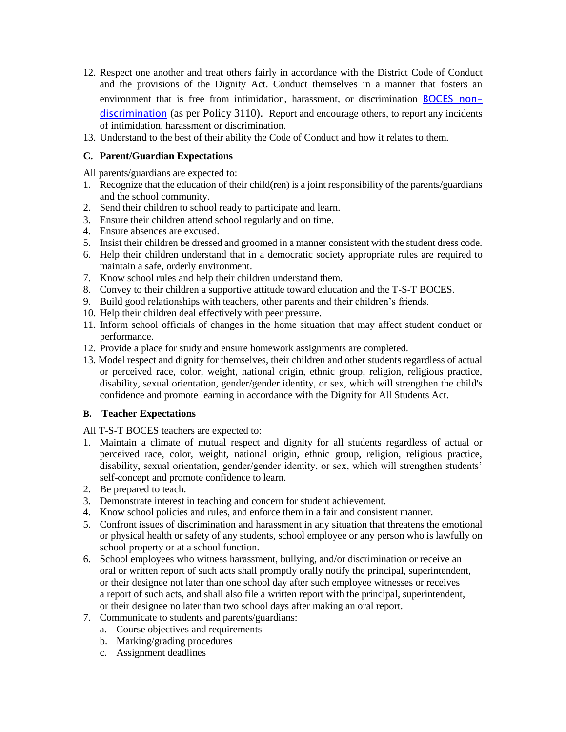- 12. Respect one another and treat others fairly in accordance with the District Code of Conduct and the provisions of the Dignity Act. Conduct themselves in a manner that fosters an environment that is free from intimidation, harassment, or discrimination [BOCES non](http://tstboces.org/about/non-discrimination-policy/)[discrimination](http://tstboces.org/about/non-discrimination-policy/) (as per Policy 3110). Report and encourage others, to report any incidents of intimidation, harassment or discrimination.
- 13. Understand to the best of their ability the Code of Conduct and how it relates to them.

### **C. Parent/Guardian Expectations**

All parents/guardians are expected to:

- 1. Recognize that the education of their child(ren) is a joint responsibility of the parents/guardians and the school community.
- 2. Send their children to school ready to participate and learn.
- 3. Ensure their children attend school regularly and on time.
- 4. Ensure absences are excused.
- 5. Insist their children be dressed and groomed in a manner consistent with the student dress code.
- 6. Help their children understand that in a democratic society appropriate rules are required to maintain a safe, orderly environment.
- 7. Know school rules and help their children understand them.
- 8. Convey to their children a supportive attitude toward education and the T-S-T BOCES.
- 9. Build good relationships with teachers, other parents and their children's friends.
- 10. Help their children deal effectively with peer pressure.
- 11. Inform school officials of changes in the home situation that may affect student conduct or performance.
- 12. Provide a place for study and ensure homework assignments are completed.
- 13. Model respect and dignity for themselves, their children and other students regardless of actual or perceived race, color, weight, national origin, ethnic group, religion, religious practice, disability, sexual orientation, gender/gender identity, or sex, which will strengthen the child's confidence and promote learning in accordance with the Dignity for All Students Act.

#### **B. Teacher Expectations**

All T-S-T BOCES teachers are expected to:

- 1. Maintain a climate of mutual respect and dignity for all students regardless of actual or perceived race, color, weight, national origin, ethnic group, religion, religious practice, disability, sexual orientation, gender/gender identity, or sex, which will strengthen students' self-concept and promote confidence to learn.
- 2. Be prepared to teach.
- 3. Demonstrate interest in teaching and concern for student achievement.
- 4. Know school policies and rules, and enforce them in a fair and consistent manner.
- 5. Confront issues of discrimination and harassment in any situation that threatens the emotional or physical health or safety of any students, school employee or any person who is lawfully on school property or at a school function.
- 6. School employees who witness harassment, bullying, and/or discrimination or receive an oral or written report of such acts shall promptly orally notify the principal, superintendent, or their designee not later than one school day after such employee witnesses or receives a report of such acts, and shall also file a written report with the principal, superintendent, or their designee no later than two school days after making an oral report.
- 7. Communicate to students and parents/guardians:
	- a. Course objectives and requirements
	- b. Marking/grading procedures
	- c. Assignment deadlines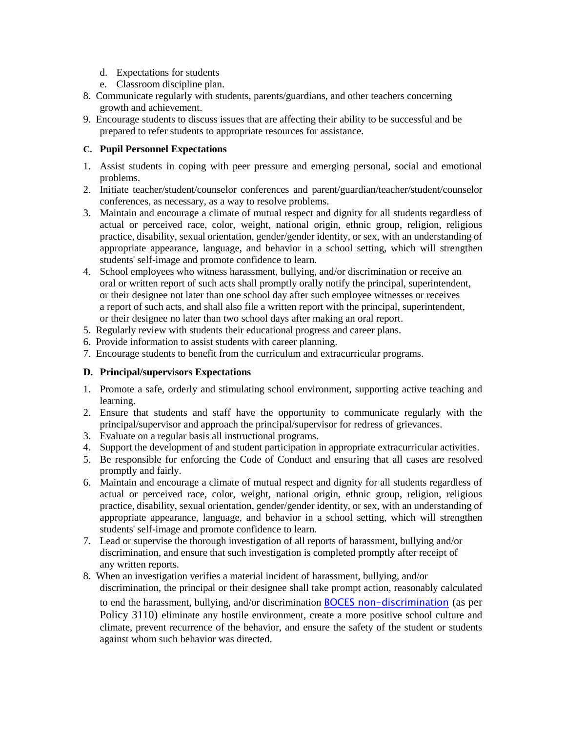- d. Expectations for students
- e. Classroom discipline plan.
- 8. Communicate regularly with students, parents/guardians, and other teachers concerning growth and achievement.
- 9. Encourage students to discuss issues that are affecting their ability to be successful and be prepared to refer students to appropriate resources for assistance.

### **C. Pupil Personnel Expectations**

- 1. Assist students in coping with peer pressure and emerging personal, social and emotional problems.
- 2. Initiate teacher/student/counselor conferences and parent/guardian/teacher/student/counselor conferences, as necessary, as a way to resolve problems.
- 3. Maintain and encourage a climate of mutual respect and dignity for all students regardless of actual or perceived race, color, weight, national origin, ethnic group, religion, religious practice, disability, sexual orientation, gender/gender identity, or sex, with an understanding of appropriate appearance, language, and behavior in a school setting, which will strengthen students' self-image and promote confidence to learn.
- 4. School employees who witness harassment, bullying, and/or discrimination or receive an oral or written report of such acts shall promptly orally notify the principal, superintendent, or their designee not later than one school day after such employee witnesses or receives a report of such acts, and shall also file a written report with the principal, superintendent, or their designee no later than two school days after making an oral report.
- 5. Regularly review with students their educational progress and career plans.
- 6. Provide information to assist students with career planning.
- 7. Encourage students to benefit from the curriculum and extracurricular programs.

#### **D. Principal/supervisors Expectations**

- 1. Promote a safe, orderly and stimulating school environment, supporting active teaching and learning.
- 2. Ensure that students and staff have the opportunity to communicate regularly with the principal/supervisor and approach the principal/supervisor for redress of grievances.
- 3. Evaluate on a regular basis all instructional programs.
- 4. Support the development of and student participation in appropriate extracurricular activities.
- 5. Be responsible for enforcing the Code of Conduct and ensuring that all cases are resolved promptly and fairly.
- 6. Maintain and encourage a climate of mutual respect and dignity for all students regardless of actual or perceived race, color, weight, national origin, ethnic group, religion, religious practice, disability, sexual orientation, gender/gender identity, or sex, with an understanding of appropriate appearance, language, and behavior in a school setting, which will strengthen students' self-image and promote confidence to learn.
- 7. Lead or supervise the thorough investigation of all reports of harassment, bullying and/or discrimination, and ensure that such investigation is completed promptly after receipt of any written reports.
- 8. When an investigation verifies a material incident of harassment, bullying, and/or discrimination, the principal or their designee shall take prompt action, reasonably calculated to end the harassment, bullying, and/or discrimination **BOCES** non-discrimination (as per Policy 3110) eliminate any hostile environment, create a more positive school culture and climate, prevent recurrence of the behavior, and ensure the safety of the student or students against whom such behavior was directed.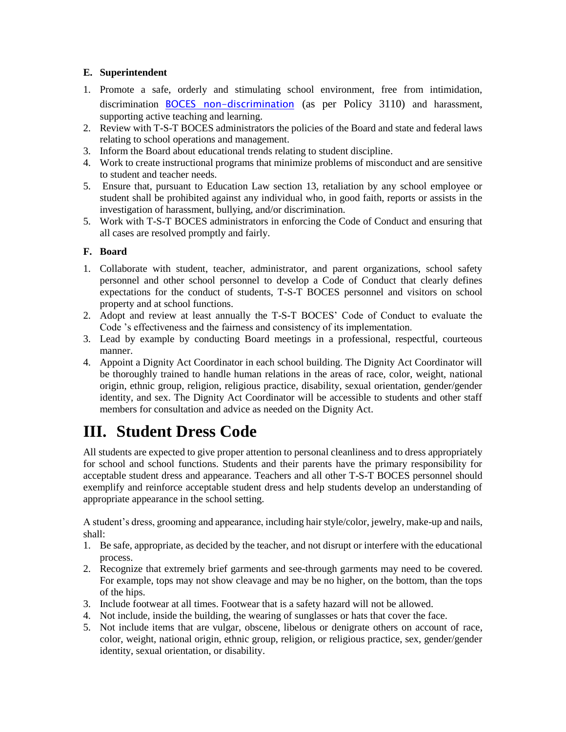### **E. Superintendent**

- 1. Promote a safe, orderly and stimulating school environment, free from intimidation, discrimination [BOCES non-discrimination](http://tstboces.org/about/non-discrimination-policy/) (as per Policy 3110) and harassment, supporting active teaching and learning.
- 2. Review with T-S-T BOCES administrators the policies of the Board and state and federal laws relating to school operations and management.
- 3. Inform the Board about educational trends relating to student discipline.
- 4. Work to create instructional programs that minimize problems of misconduct and are sensitive to student and teacher needs.
- 5. Ensure that, pursuant to Education Law section 13, retaliation by any school employee or student shall be prohibited against any individual who, in good faith, reports or assists in the investigation of harassment, bullying, and/or discrimination.
- 5. Work with T-S-T BOCES administrators in enforcing the Code of Conduct and ensuring that all cases are resolved promptly and fairly.

### **F. Board**

- 1. Collaborate with student, teacher, administrator, and parent organizations, school safety personnel and other school personnel to develop a Code of Conduct that clearly defines expectations for the conduct of students, T-S-T BOCES personnel and visitors on school property and at school functions.
- 2. Adopt and review at least annually the T-S-T BOCES' Code of Conduct to evaluate the Code 's effectiveness and the fairness and consistency of its implementation.
- 3. Lead by example by conducting Board meetings in a professional, respectful, courteous manner.
- 4. Appoint a Dignity Act Coordinator in each school building. The Dignity Act Coordinator will be thoroughly trained to handle human relations in the areas of race, color, weight, national origin, ethnic group, religion, religious practice, disability, sexual orientation, gender/gender identity, and sex. The Dignity Act Coordinator will be accessible to students and other staff members for consultation and advice as needed on the Dignity Act.

# **III. Student Dress Code**

All students are expected to give proper attention to personal cleanliness and to dress appropriately for school and school functions. Students and their parents have the primary responsibility for acceptable student dress and appearance. Teachers and all other T-S-T BOCES personnel should exemplify and reinforce acceptable student dress and help students develop an understanding of appropriate appearance in the school setting.

A student's dress, grooming and appearance, including hair style/color, jewelry, make-up and nails, shall:

- 1. Be safe, appropriate, as decided by the teacher, and not disrupt or interfere with the educational process.
- 2. Recognize that extremely brief garments and see-through garments may need to be covered. For example, tops may not show cleavage and may be no higher, on the bottom, than the tops of the hips.
- 3. Include footwear at all times. Footwear that is a safety hazard will not be allowed.
- 4. Not include, inside the building, the wearing of sunglasses or hats that cover the face.
- 5. Not include items that are vulgar, obscene, libelous or denigrate others on account of race, color, weight, national origin, ethnic group, religion, or religious practice, sex, gender/gender identity, sexual orientation, or disability.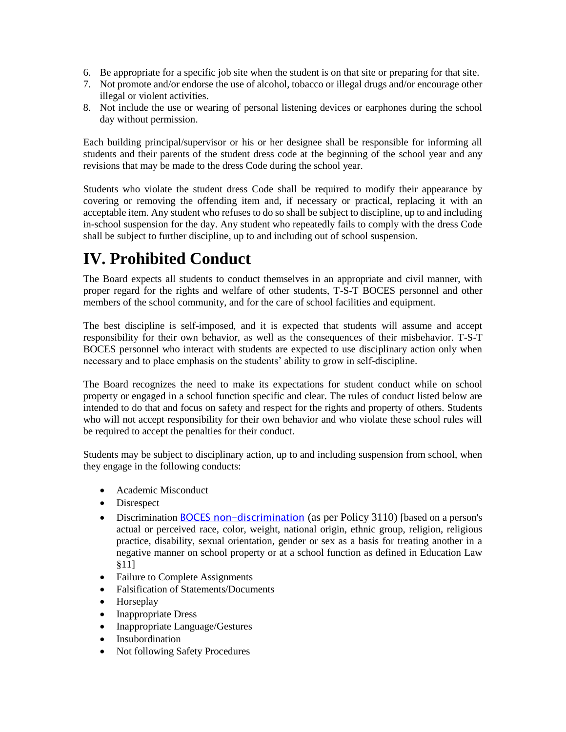- 6. Be appropriate for a specific job site when the student is on that site or preparing for that site.
- 7. Not promote and/or endorse the use of alcohol, tobacco or illegal drugs and/or encourage other illegal or violent activities.
- 8. Not include the use or wearing of personal listening devices or earphones during the school day without permission.

Each building principal/supervisor or his or her designee shall be responsible for informing all students and their parents of the student dress code at the beginning of the school year and any revisions that may be made to the dress Code during the school year.

Students who violate the student dress Code shall be required to modify their appearance by covering or removing the offending item and, if necessary or practical, replacing it with an acceptable item. Any student who refuses to do so shall be subject to discipline, up to and including in-school suspension for the day. Any student who repeatedly fails to comply with the dress Code shall be subject to further discipline, up to and including out of school suspension.

# **IV. Prohibited Conduct**

The Board expects all students to conduct themselves in an appropriate and civil manner, with proper regard for the rights and welfare of other students, T-S-T BOCES personnel and other members of the school community, and for the care of school facilities and equipment.

The best discipline is self-imposed, and it is expected that students will assume and accept responsibility for their own behavior, as well as the consequences of their misbehavior. T-S-T BOCES personnel who interact with students are expected to use disciplinary action only when necessary and to place emphasis on the students' ability to grow in self-discipline.

The Board recognizes the need to make its expectations for student conduct while on school property or engaged in a school function specific and clear. The rules of conduct listed below are intended to do that and focus on safety and respect for the rights and property of others. Students who will not accept responsibility for their own behavior and who violate these school rules will be required to accept the penalties for their conduct.

Students may be subject to disciplinary action, up to and including suspension from school, when they engage in the following conducts:

- Academic Misconduct
- Disrespect
- Discrimination [BOCES non-discrimination](http://tstboces.org/about/non-discrimination-policy/) (as per Policy 3110) [based on a person's actual or perceived race, color, weight, national origin, ethnic group, religion, religious practice, disability, sexual orientation, gender or sex as a basis for treating another in a negative manner on school property or at a school function as defined in Education Law §11]
- Failure to Complete Assignments
- Falsification of Statements/Documents
- Horseplay
- Inappropriate Dress
- Inappropriate Language/Gestures
- Insubordination
- Not following Safety Procedures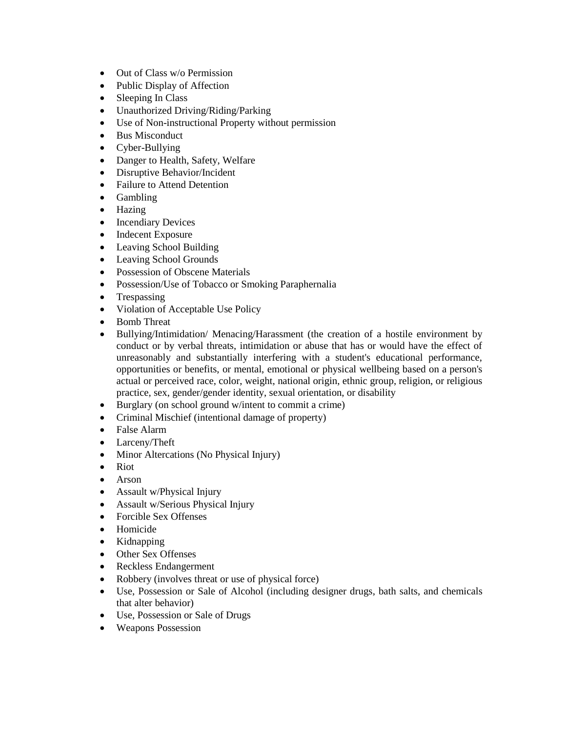- Out of Class w/o Permission
- Public Display of Affection
- Sleeping In Class
- Unauthorized Driving/Riding/Parking
- Use of Non-instructional Property without permission
- Bus Misconduct
- Cyber-Bullying
- Danger to Health, Safety, Welfare
- Disruptive Behavior/Incident
- Failure to Attend Detention
- Gambling
- Hazing
- Incendiary Devices
- Indecent Exposure
- Leaving School Building
- Leaving School Grounds
- Possession of Obscene Materials
- Possession/Use of Tobacco or Smoking Paraphernalia
- Trespassing
- Violation of Acceptable Use Policy
- Bomb Threat
- Bullying/Intimidation/ Menacing/Harassment (the creation of a hostile environment by conduct or by verbal threats, intimidation or abuse that has or would have the effect of unreasonably and substantially interfering with a student's educational performance, opportunities or benefits, or mental, emotional or physical wellbeing based on a person's actual or perceived race, color, weight, national origin, ethnic group, religion, or religious practice, sex, gender/gender identity, sexual orientation, or disability
- Burglary (on school ground w/intent to commit a crime)
- Criminal Mischief (intentional damage of property)
- False Alarm
- Larceny/Theft
- Minor Altercations (No Physical Injury)
- Riot
- Arson
- Assault w/Physical Injury
- Assault w/Serious Physical Injury
- Forcible Sex Offenses
- Homicide
- Kidnapping
- Other Sex Offenses
- Reckless Endangerment
- Robbery (involves threat or use of physical force)
- Use, Possession or Sale of Alcohol (including designer drugs, bath salts, and chemicals that alter behavior)
- Use, Possession or Sale of Drugs
- Weapons Possession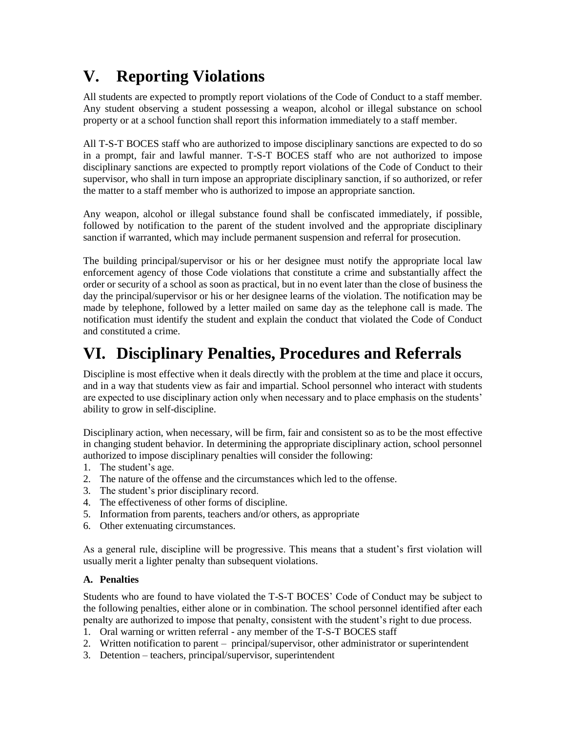# **V. Reporting Violations**

All students are expected to promptly report violations of the Code of Conduct to a staff member. Any student observing a student possessing a weapon, alcohol or illegal substance on school property or at a school function shall report this information immediately to a staff member.

All T-S-T BOCES staff who are authorized to impose disciplinary sanctions are expected to do so in a prompt, fair and lawful manner. T-S-T BOCES staff who are not authorized to impose disciplinary sanctions are expected to promptly report violations of the Code of Conduct to their supervisor, who shall in turn impose an appropriate disciplinary sanction, if so authorized, or refer the matter to a staff member who is authorized to impose an appropriate sanction.

Any weapon, alcohol or illegal substance found shall be confiscated immediately, if possible, followed by notification to the parent of the student involved and the appropriate disciplinary sanction if warranted, which may include permanent suspension and referral for prosecution.

The building principal/supervisor or his or her designee must notify the appropriate local law enforcement agency of those Code violations that constitute a crime and substantially affect the order or security of a school as soon as practical, but in no event later than the close of business the day the principal/supervisor or his or her designee learns of the violation. The notification may be made by telephone, followed by a letter mailed on same day as the telephone call is made. The notification must identify the student and explain the conduct that violated the Code of Conduct and constituted a crime.

# **VI. Disciplinary Penalties, Procedures and Referrals**

Discipline is most effective when it deals directly with the problem at the time and place it occurs, and in a way that students view as fair and impartial. School personnel who interact with students are expected to use disciplinary action only when necessary and to place emphasis on the students' ability to grow in self-discipline.

Disciplinary action, when necessary, will be firm, fair and consistent so as to be the most effective in changing student behavior. In determining the appropriate disciplinary action, school personnel authorized to impose disciplinary penalties will consider the following:

- 1. The student's age.
- 2. The nature of the offense and the circumstances which led to the offense.
- 3. The student's prior disciplinary record.
- 4. The effectiveness of other forms of discipline.
- 5. Information from parents, teachers and/or others, as appropriate
- 6. Other extenuating circumstances.

As a general rule, discipline will be progressive. This means that a student's first violation will usually merit a lighter penalty than subsequent violations.

### **A. Penalties**

Students who are found to have violated the T-S-T BOCES' Code of Conduct may be subject to the following penalties, either alone or in combination. The school personnel identified after each penalty are authorized to impose that penalty, consistent with the student's right to due process.

- 1. Oral warning or written referral any member of the T-S-T BOCES staff
- 2. Written notification to parent principal/supervisor, other administrator or superintendent
- 3. Detention teachers, principal/supervisor, superintendent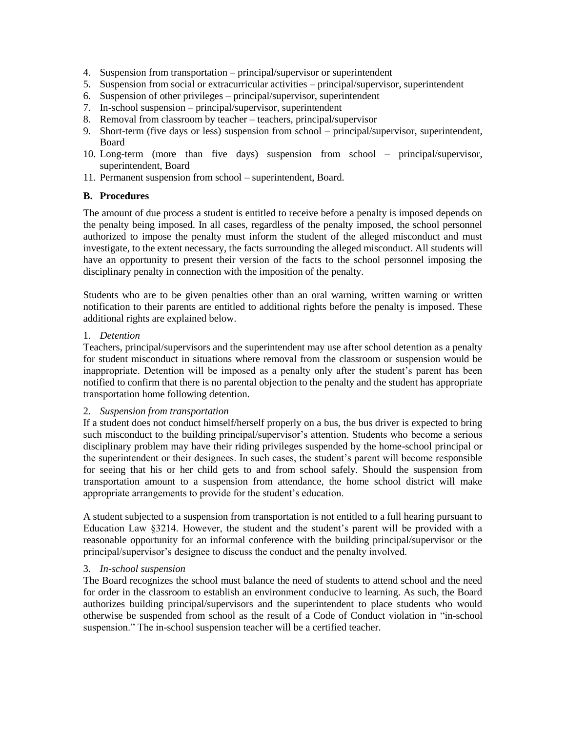- 4. Suspension from transportation principal/supervisor or superintendent
- 5. Suspension from social or extracurricular activities principal/supervisor, superintendent
- 6. Suspension of other privileges principal/supervisor, superintendent
- 7. In-school suspension principal/supervisor, superintendent
- 8. Removal from classroom by teacher teachers, principal/supervisor
- 9. Short-term (five days or less) suspension from school principal/supervisor, superintendent, Board
- 10. Long-term (more than five days) suspension from school principal/supervisor, superintendent, Board
- 11. Permanent suspension from school superintendent, Board.

#### **B. Procedures**

The amount of due process a student is entitled to receive before a penalty is imposed depends on the penalty being imposed. In all cases, regardless of the penalty imposed, the school personnel authorized to impose the penalty must inform the student of the alleged misconduct and must investigate, to the extent necessary, the facts surrounding the alleged misconduct. All students will have an opportunity to present their version of the facts to the school personnel imposing the disciplinary penalty in connection with the imposition of the penalty.

Students who are to be given penalties other than an oral warning, written warning or written notification to their parents are entitled to additional rights before the penalty is imposed. These additional rights are explained below.

#### 1. *Detention*

Teachers, principal/supervisors and the superintendent may use after school detention as a penalty for student misconduct in situations where removal from the classroom or suspension would be inappropriate. Detention will be imposed as a penalty only after the student's parent has been notified to confirm that there is no parental objection to the penalty and the student has appropriate transportation home following detention.

#### 2. *Suspension from transportation*

If a student does not conduct himself/herself properly on a bus, the bus driver is expected to bring such misconduct to the building principal/supervisor's attention. Students who become a serious disciplinary problem may have their riding privileges suspended by the home-school principal or the superintendent or their designees. In such cases, the student's parent will become responsible for seeing that his or her child gets to and from school safely. Should the suspension from transportation amount to a suspension from attendance, the home school district will make appropriate arrangements to provide for the student's education.

A student subjected to a suspension from transportation is not entitled to a full hearing pursuant to Education Law §3214. However, the student and the student's parent will be provided with a reasonable opportunity for an informal conference with the building principal/supervisor or the principal/supervisor's designee to discuss the conduct and the penalty involved.

### 3. *In-school suspension*

The Board recognizes the school must balance the need of students to attend school and the need for order in the classroom to establish an environment conducive to learning. As such, the Board authorizes building principal/supervisors and the superintendent to place students who would otherwise be suspended from school as the result of a Code of Conduct violation in "in-school suspension." The in-school suspension teacher will be a certified teacher.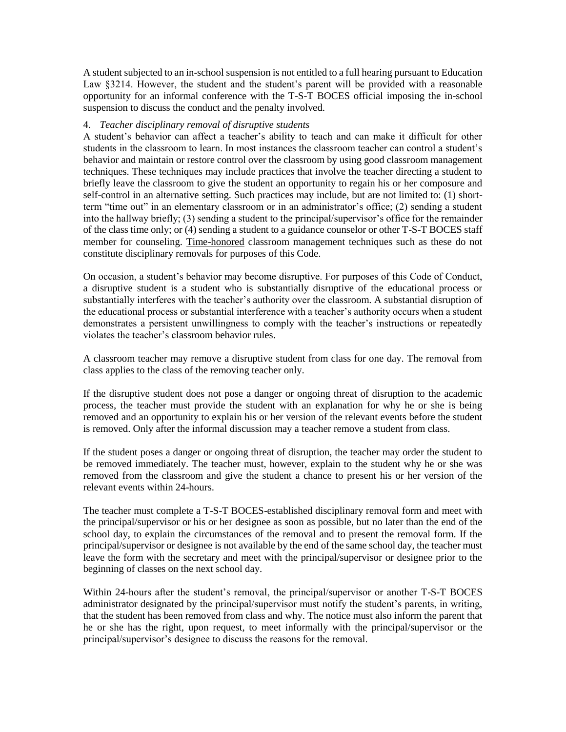A student subjected to an in-school suspension is not entitled to a full hearing pursuant to Education Law §3214. However, the student and the student's parent will be provided with a reasonable opportunity for an informal conference with the T-S-T BOCES official imposing the in-school suspension to discuss the conduct and the penalty involved.

#### 4. *Teacher disciplinary removal of disruptive students*

A student's behavior can affect a teacher's ability to teach and can make it difficult for other students in the classroom to learn. In most instances the classroom teacher can control a student's behavior and maintain or restore control over the classroom by using good classroom management techniques. These techniques may include practices that involve the teacher directing a student to briefly leave the classroom to give the student an opportunity to regain his or her composure and self-control in an alternative setting. Such practices may include, but are not limited to: (1) shortterm "time out" in an elementary classroom or in an administrator's office; (2) sending a student into the hallway briefly; (3) sending a student to the principal/supervisor's office for the remainder of the class time only; or (4) sending a student to a guidance counselor or other T-S-T BOCES staff member for counseling. Time-honored classroom management techniques such as these do not constitute disciplinary removals for purposes of this Code.

On occasion, a student's behavior may become disruptive. For purposes of this Code of Conduct, a disruptive student is a student who is substantially disruptive of the educational process or substantially interferes with the teacher's authority over the classroom. A substantial disruption of the educational process or substantial interference with a teacher's authority occurs when a student demonstrates a persistent unwillingness to comply with the teacher's instructions or repeatedly violates the teacher's classroom behavior rules.

A classroom teacher may remove a disruptive student from class for one day. The removal from class applies to the class of the removing teacher only.

If the disruptive student does not pose a danger or ongoing threat of disruption to the academic process, the teacher must provide the student with an explanation for why he or she is being removed and an opportunity to explain his or her version of the relevant events before the student is removed. Only after the informal discussion may a teacher remove a student from class.

If the student poses a danger or ongoing threat of disruption, the teacher may order the student to be removed immediately. The teacher must, however, explain to the student why he or she was removed from the classroom and give the student a chance to present his or her version of the relevant events within 24-hours.

The teacher must complete a T-S-T BOCES-established disciplinary removal form and meet with the principal/supervisor or his or her designee as soon as possible, but no later than the end of the school day, to explain the circumstances of the removal and to present the removal form. If the principal/supervisor or designee is not available by the end of the same school day, the teacher must leave the form with the secretary and meet with the principal/supervisor or designee prior to the beginning of classes on the next school day.

Within 24-hours after the student's removal, the principal/supervisor or another T-S-T BOCES administrator designated by the principal/supervisor must notify the student's parents, in writing, that the student has been removed from class and why. The notice must also inform the parent that he or she has the right, upon request, to meet informally with the principal/supervisor or the principal/supervisor's designee to discuss the reasons for the removal.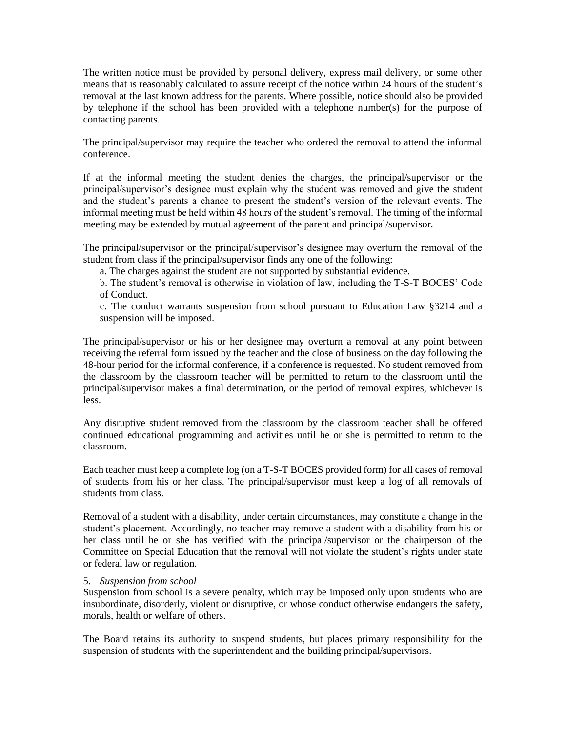The written notice must be provided by personal delivery, express mail delivery, or some other means that is reasonably calculated to assure receipt of the notice within 24 hours of the student's removal at the last known address for the parents. Where possible, notice should also be provided by telephone if the school has been provided with a telephone number(s) for the purpose of contacting parents.

The principal/supervisor may require the teacher who ordered the removal to attend the informal conference.

If at the informal meeting the student denies the charges, the principal/supervisor or the principal/supervisor's designee must explain why the student was removed and give the student and the student's parents a chance to present the student's version of the relevant events. The informal meeting must be held within 48 hours of the student's removal. The timing of the informal meeting may be extended by mutual agreement of the parent and principal/supervisor.

The principal/supervisor or the principal/supervisor's designee may overturn the removal of the student from class if the principal/supervisor finds any one of the following:

a. The charges against the student are not supported by substantial evidence.

b. The student's removal is otherwise in violation of law, including the T-S-T BOCES' Code of Conduct.

c. The conduct warrants suspension from school pursuant to Education Law §3214 and a suspension will be imposed.

The principal/supervisor or his or her designee may overturn a removal at any point between receiving the referral form issued by the teacher and the close of business on the day following the 48-hour period for the informal conference, if a conference is requested. No student removed from the classroom by the classroom teacher will be permitted to return to the classroom until the principal/supervisor makes a final determination, or the period of removal expires, whichever is less.

Any disruptive student removed from the classroom by the classroom teacher shall be offered continued educational programming and activities until he or she is permitted to return to the classroom.

Each teacher must keep a complete log (on a T-S-T BOCES provided form) for all cases of removal of students from his or her class. The principal/supervisor must keep a log of all removals of students from class.

Removal of a student with a disability, under certain circumstances, may constitute a change in the student's placement. Accordingly, no teacher may remove a student with a disability from his or her class until he or she has verified with the principal/supervisor or the chairperson of the Committee on Special Education that the removal will not violate the student's rights under state or federal law or regulation.

#### 5. *Suspension from school*

Suspension from school is a severe penalty, which may be imposed only upon students who are insubordinate, disorderly, violent or disruptive, or whose conduct otherwise endangers the safety, morals, health or welfare of others.

The Board retains its authority to suspend students, but places primary responsibility for the suspension of students with the superintendent and the building principal/supervisors.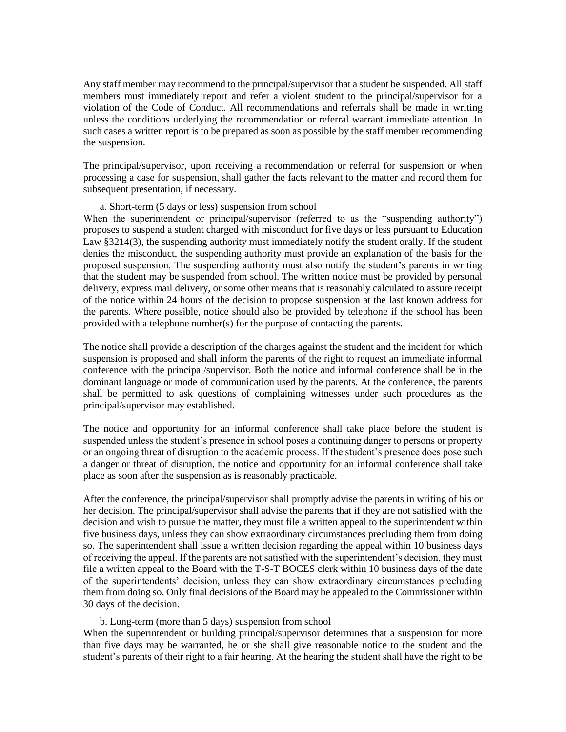Any staff member may recommend to the principal/supervisor that a student be suspended. All staff members must immediately report and refer a violent student to the principal/supervisor for a violation of the Code of Conduct. All recommendations and referrals shall be made in writing unless the conditions underlying the recommendation or referral warrant immediate attention. In such cases a written report is to be prepared as soon as possible by the staff member recommending the suspension.

The principal/supervisor, upon receiving a recommendation or referral for suspension or when processing a case for suspension, shall gather the facts relevant to the matter and record them for subsequent presentation, if necessary.

#### a. Short-term (5 days or less) suspension from school

When the superintendent or principal/supervisor (referred to as the "suspending authority") proposes to suspend a student charged with misconduct for five days or less pursuant to Education Law §3214(3), the suspending authority must immediately notify the student orally. If the student denies the misconduct, the suspending authority must provide an explanation of the basis for the proposed suspension. The suspending authority must also notify the student's parents in writing that the student may be suspended from school. The written notice must be provided by personal delivery, express mail delivery, or some other means that is reasonably calculated to assure receipt of the notice within 24 hours of the decision to propose suspension at the last known address for the parents. Where possible, notice should also be provided by telephone if the school has been provided with a telephone number(s) for the purpose of contacting the parents.

The notice shall provide a description of the charges against the student and the incident for which suspension is proposed and shall inform the parents of the right to request an immediate informal conference with the principal/supervisor. Both the notice and informal conference shall be in the dominant language or mode of communication used by the parents. At the conference, the parents shall be permitted to ask questions of complaining witnesses under such procedures as the principal/supervisor may established.

The notice and opportunity for an informal conference shall take place before the student is suspended unless the student's presence in school poses a continuing danger to persons or property or an ongoing threat of disruption to the academic process. If the student's presence does pose such a danger or threat of disruption, the notice and opportunity for an informal conference shall take place as soon after the suspension as is reasonably practicable.

After the conference, the principal/supervisor shall promptly advise the parents in writing of his or her decision. The principal/supervisor shall advise the parents that if they are not satisfied with the decision and wish to pursue the matter, they must file a written appeal to the superintendent within five business days, unless they can show extraordinary circumstances precluding them from doing so. The superintendent shall issue a written decision regarding the appeal within 10 business days of receiving the appeal. If the parents are not satisfied with the superintendent's decision, they must file a written appeal to the Board with the T-S-T BOCES clerk within 10 business days of the date of the superintendents' decision, unless they can show extraordinary circumstances precluding them from doing so. Only final decisions of the Board may be appealed to the Commissioner within 30 days of the decision.

#### b. Long-term (more than 5 days) suspension from school

When the superintendent or building principal/supervisor determines that a suspension for more than five days may be warranted, he or she shall give reasonable notice to the student and the student's parents of their right to a fair hearing. At the hearing the student shall have the right to be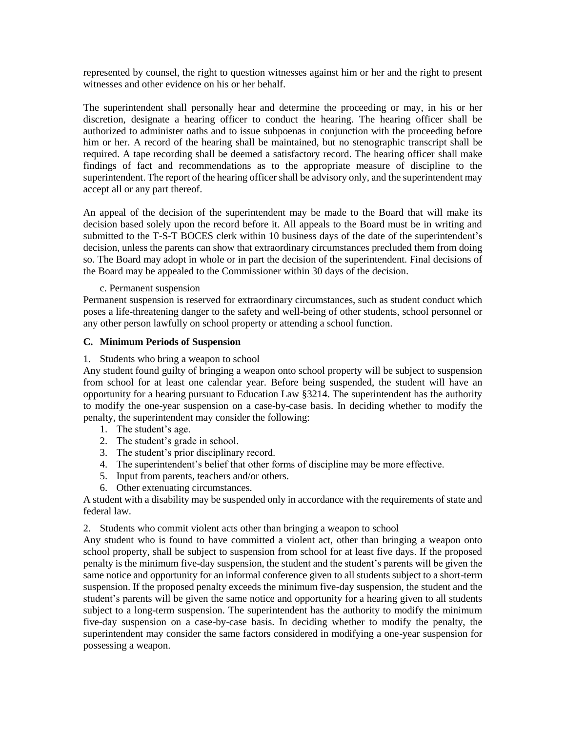represented by counsel, the right to question witnesses against him or her and the right to present witnesses and other evidence on his or her behalf.

The superintendent shall personally hear and determine the proceeding or may, in his or her discretion, designate a hearing officer to conduct the hearing. The hearing officer shall be authorized to administer oaths and to issue subpoenas in conjunction with the proceeding before him or her. A record of the hearing shall be maintained, but no stenographic transcript shall be required. A tape recording shall be deemed a satisfactory record. The hearing officer shall make findings of fact and recommendations as to the appropriate measure of discipline to the superintendent. The report of the hearing officer shall be advisory only, and the superintendent may accept all or any part thereof.

An appeal of the decision of the superintendent may be made to the Board that will make its decision based solely upon the record before it. All appeals to the Board must be in writing and submitted to the T-S-T BOCES clerk within 10 business days of the date of the superintendent's decision, unless the parents can show that extraordinary circumstances precluded them from doing so. The Board may adopt in whole or in part the decision of the superintendent. Final decisions of the Board may be appealed to the Commissioner within 30 days of the decision.

#### c. Permanent suspension

Permanent suspension is reserved for extraordinary circumstances, such as student conduct which poses a life-threatening danger to the safety and well-being of other students, school personnel or any other person lawfully on school property or attending a school function.

#### **C. Minimum Periods of Suspension**

#### 1. Students who bring a weapon to school

Any student found guilty of bringing a weapon onto school property will be subject to suspension from school for at least one calendar year. Before being suspended, the student will have an opportunity for a hearing pursuant to Education Law §3214. The superintendent has the authority to modify the one-year suspension on a case-by-case basis. In deciding whether to modify the penalty, the superintendent may consider the following:

- 1. The student's age.
- 2. The student's grade in school.
- 3. The student's prior disciplinary record.
- 4. The superintendent's belief that other forms of discipline may be more effective.
- 5. Input from parents, teachers and/or others.
- 6. Other extenuating circumstances.

A student with a disability may be suspended only in accordance with the requirements of state and federal law.

2. Students who commit violent acts other than bringing a weapon to school

Any student who is found to have committed a violent act, other than bringing a weapon onto school property, shall be subject to suspension from school for at least five days. If the proposed penalty is the minimum five-day suspension, the student and the student's parents will be given the same notice and opportunity for an informal conference given to all students subject to a short-term suspension. If the proposed penalty exceeds the minimum five-day suspension, the student and the student's parents will be given the same notice and opportunity for a hearing given to all students subject to a long-term suspension. The superintendent has the authority to modify the minimum five-day suspension on a case-by-case basis. In deciding whether to modify the penalty, the superintendent may consider the same factors considered in modifying a one-year suspension for possessing a weapon.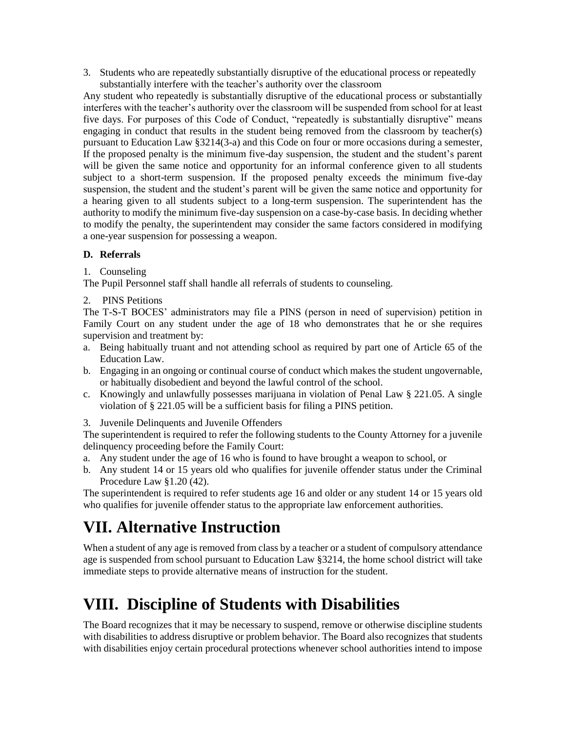3. Students who are repeatedly substantially disruptive of the educational process or repeatedly substantially interfere with the teacher's authority over the classroom

Any student who repeatedly is substantially disruptive of the educational process or substantially interferes with the teacher's authority over the classroom will be suspended from school for at least five days. For purposes of this Code of Conduct, "repeatedly is substantially disruptive" means engaging in conduct that results in the student being removed from the classroom by teacher(s) pursuant to Education Law §3214(3-a) and this Code on four or more occasions during a semester, If the proposed penalty is the minimum five-day suspension, the student and the student's parent will be given the same notice and opportunity for an informal conference given to all students subject to a short-term suspension. If the proposed penalty exceeds the minimum five-day suspension, the student and the student's parent will be given the same notice and opportunity for a hearing given to all students subject to a long-term suspension. The superintendent has the authority to modify the minimum five-day suspension on a case-by-case basis. In deciding whether to modify the penalty, the superintendent may consider the same factors considered in modifying a one-year suspension for possessing a weapon.

### **D. Referrals**

1. Counseling

The Pupil Personnel staff shall handle all referrals of students to counseling.

2. PINS Petitions

The T-S-T BOCES' administrators may file a PINS (person in need of supervision) petition in Family Court on any student under the age of 18 who demonstrates that he or she requires supervision and treatment by:

- a. Being habitually truant and not attending school as required by part one of Article 65 of the Education Law.
- b. Engaging in an ongoing or continual course of conduct which makes the student ungovernable, or habitually disobedient and beyond the lawful control of the school.
- c. Knowingly and unlawfully possesses marijuana in violation of Penal Law § 221.05. A single violation of § 221.05 will be a sufficient basis for filing a PINS petition.
- 3. Juvenile Delinquents and Juvenile Offenders

The superintendent is required to refer the following students to the County Attorney for a juvenile delinquency proceeding before the Family Court:

- a. Any student under the age of 16 who is found to have brought a weapon to school, or
- b. Any student 14 or 15 years old who qualifies for juvenile offender status under the Criminal Procedure Law §1.20 (42).

The superintendent is required to refer students age 16 and older or any student 14 or 15 years old who qualifies for juvenile offender status to the appropriate law enforcement authorities.

## **VII. Alternative Instruction**

When a student of any age is removed from class by a teacher or a student of compulsory attendance age is suspended from school pursuant to Education Law §3214, the home school district will take immediate steps to provide alternative means of instruction for the student.

# **VIII. Discipline of Students with Disabilities**

The Board recognizes that it may be necessary to suspend, remove or otherwise discipline students with disabilities to address disruptive or problem behavior. The Board also recognizes that students with disabilities enjoy certain procedural protections whenever school authorities intend to impose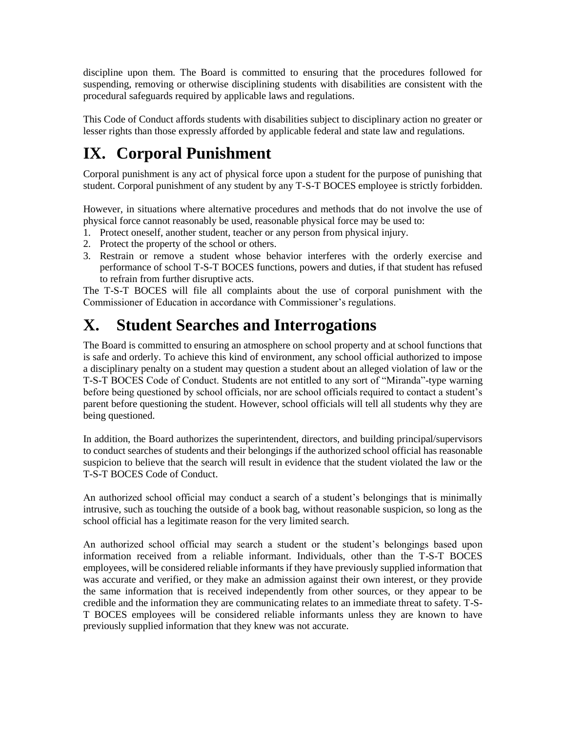discipline upon them. The Board is committed to ensuring that the procedures followed for suspending, removing or otherwise disciplining students with disabilities are consistent with the procedural safeguards required by applicable laws and regulations.

This Code of Conduct affords students with disabilities subject to disciplinary action no greater or lesser rights than those expressly afforded by applicable federal and state law and regulations.

# **IX. Corporal Punishment**

Corporal punishment is any act of physical force upon a student for the purpose of punishing that student. Corporal punishment of any student by any T-S-T BOCES employee is strictly forbidden.

However, in situations where alternative procedures and methods that do not involve the use of physical force cannot reasonably be used, reasonable physical force may be used to:

- 1. Protect oneself, another student, teacher or any person from physical injury.
- 2. Protect the property of the school or others.
- 3. Restrain or remove a student whose behavior interferes with the orderly exercise and performance of school T-S-T BOCES functions, powers and duties, if that student has refused to refrain from further disruptive acts.

The T-S-T BOCES will file all complaints about the use of corporal punishment with the Commissioner of Education in accordance with Commissioner's regulations.

## **X. Student Searches and Interrogations**

The Board is committed to ensuring an atmosphere on school property and at school functions that is safe and orderly. To achieve this kind of environment, any school official authorized to impose a disciplinary penalty on a student may question a student about an alleged violation of law or the T-S-T BOCES Code of Conduct. Students are not entitled to any sort of "Miranda"-type warning before being questioned by school officials, nor are school officials required to contact a student's parent before questioning the student. However, school officials will tell all students why they are being questioned.

In addition, the Board authorizes the superintendent, directors, and building principal/supervisors to conduct searches of students and their belongings if the authorized school official has reasonable suspicion to believe that the search will result in evidence that the student violated the law or the T-S-T BOCES Code of Conduct.

An authorized school official may conduct a search of a student's belongings that is minimally intrusive, such as touching the outside of a book bag, without reasonable suspicion, so long as the school official has a legitimate reason for the very limited search.

An authorized school official may search a student or the student's belongings based upon information received from a reliable informant. Individuals, other than the T-S-T BOCES employees, will be considered reliable informants if they have previously supplied information that was accurate and verified, or they make an admission against their own interest, or they provide the same information that is received independently from other sources, or they appear to be credible and the information they are communicating relates to an immediate threat to safety. T-S-T BOCES employees will be considered reliable informants unless they are known to have previously supplied information that they knew was not accurate.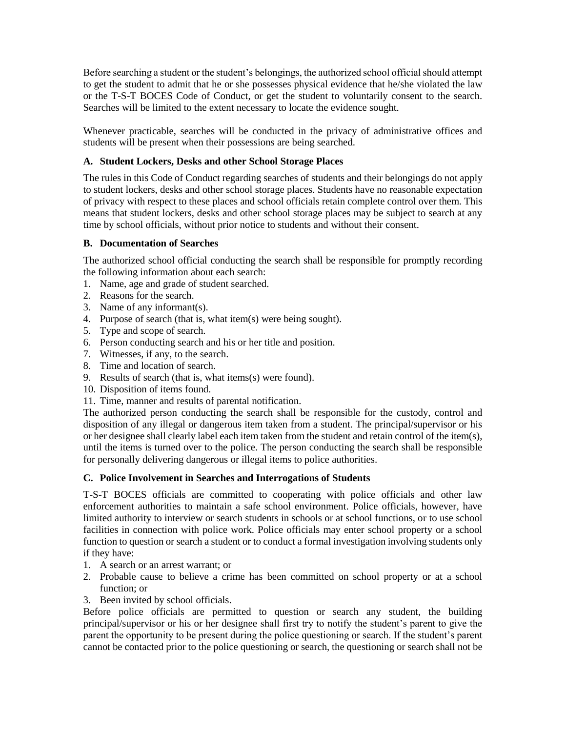Before searching a student or the student's belongings, the authorized school official should attempt to get the student to admit that he or she possesses physical evidence that he/she violated the law or the T-S-T BOCES Code of Conduct, or get the student to voluntarily consent to the search. Searches will be limited to the extent necessary to locate the evidence sought.

Whenever practicable, searches will be conducted in the privacy of administrative offices and students will be present when their possessions are being searched.

### **A. Student Lockers, Desks and other School Storage Places**

The rules in this Code of Conduct regarding searches of students and their belongings do not apply to student lockers, desks and other school storage places. Students have no reasonable expectation of privacy with respect to these places and school officials retain complete control over them. This means that student lockers, desks and other school storage places may be subject to search at any time by school officials, without prior notice to students and without their consent.

#### **B. Documentation of Searches**

The authorized school official conducting the search shall be responsible for promptly recording the following information about each search:

- 1. Name, age and grade of student searched.
- 2. Reasons for the search.
- 3. Name of any informant(s).
- 4. Purpose of search (that is, what item(s) were being sought).
- 5. Type and scope of search.
- 6. Person conducting search and his or her title and position.
- 7. Witnesses, if any, to the search.
- 8. Time and location of search.
- 9. Results of search (that is, what items(s) were found).
- 10. Disposition of items found.
- 11. Time, manner and results of parental notification.

The authorized person conducting the search shall be responsible for the custody, control and disposition of any illegal or dangerous item taken from a student. The principal/supervisor or his or her designee shall clearly label each item taken from the student and retain control of the item(s), until the items is turned over to the police. The person conducting the search shall be responsible for personally delivering dangerous or illegal items to police authorities.

### **C. Police Involvement in Searches and Interrogations of Students**

T-S-T BOCES officials are committed to cooperating with police officials and other law enforcement authorities to maintain a safe school environment. Police officials, however, have limited authority to interview or search students in schools or at school functions, or to use school facilities in connection with police work. Police officials may enter school property or a school function to question or search a student or to conduct a formal investigation involving students only if they have:

- 1. A search or an arrest warrant; or
- 2. Probable cause to believe a crime has been committed on school property or at a school function; or
- 3. Been invited by school officials.

Before police officials are permitted to question or search any student, the building principal/supervisor or his or her designee shall first try to notify the student's parent to give the parent the opportunity to be present during the police questioning or search. If the student's parent cannot be contacted prior to the police questioning or search, the questioning or search shall not be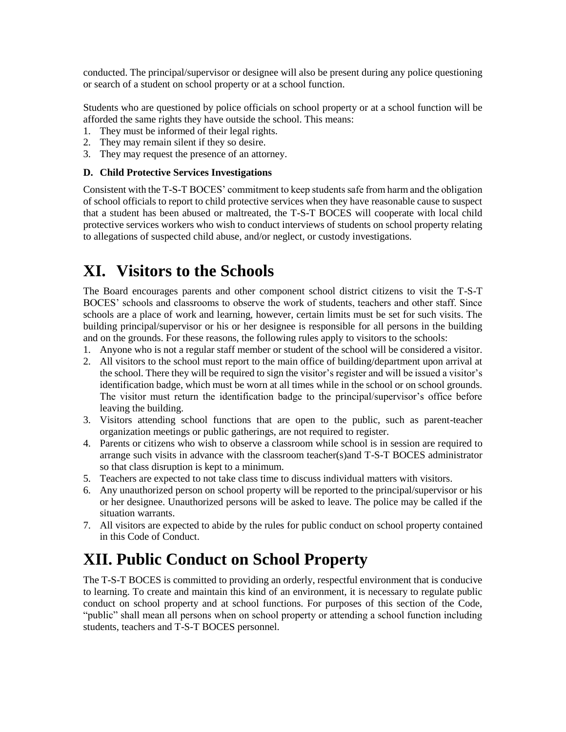conducted. The principal/supervisor or designee will also be present during any police questioning or search of a student on school property or at a school function.

Students who are questioned by police officials on school property or at a school function will be afforded the same rights they have outside the school. This means:

- 1. They must be informed of their legal rights.
- 2. They may remain silent if they so desire.
- 3. They may request the presence of an attorney.

### **D. Child Protective Services Investigations**

Consistent with the T-S-T BOCES' commitment to keep students safe from harm and the obligation of school officials to report to child protective services when they have reasonable cause to suspect that a student has been abused or maltreated, the T-S-T BOCES will cooperate with local child protective services workers who wish to conduct interviews of students on school property relating to allegations of suspected child abuse, and/or neglect, or custody investigations.

## **XI. Visitors to the Schools**

The Board encourages parents and other component school district citizens to visit the T-S-T BOCES' schools and classrooms to observe the work of students, teachers and other staff. Since schools are a place of work and learning, however, certain limits must be set for such visits. The building principal/supervisor or his or her designee is responsible for all persons in the building and on the grounds. For these reasons, the following rules apply to visitors to the schools:

- 1. Anyone who is not a regular staff member or student of the school will be considered a visitor.
- 2. All visitors to the school must report to the main office of building/department upon arrival at the school. There they will be required to sign the visitor's register and will be issued a visitor's identification badge, which must be worn at all times while in the school or on school grounds. The visitor must return the identification badge to the principal/supervisor's office before leaving the building.
- 3. Visitors attending school functions that are open to the public, such as parent-teacher organization meetings or public gatherings, are not required to register.
- 4. Parents or citizens who wish to observe a classroom while school is in session are required to arrange such visits in advance with the classroom teacher(s)and T-S-T BOCES administrator so that class disruption is kept to a minimum.
- 5. Teachers are expected to not take class time to discuss individual matters with visitors.
- 6. Any unauthorized person on school property will be reported to the principal/supervisor or his or her designee. Unauthorized persons will be asked to leave. The police may be called if the situation warrants.
- 7. All visitors are expected to abide by the rules for public conduct on school property contained in this Code of Conduct.

## **XII. Public Conduct on School Property**

The T-S-T BOCES is committed to providing an orderly, respectful environment that is conducive to learning. To create and maintain this kind of an environment, it is necessary to regulate public conduct on school property and at school functions. For purposes of this section of the Code, "public" shall mean all persons when on school property or attending a school function including students, teachers and T-S-T BOCES personnel.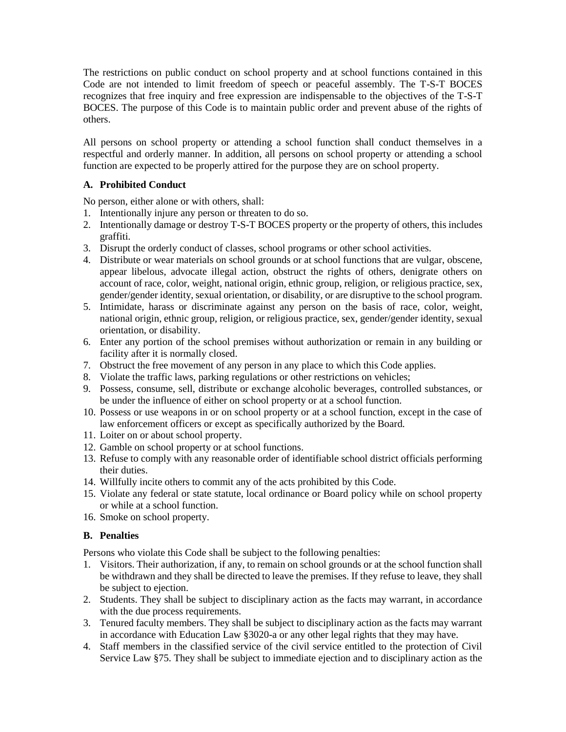The restrictions on public conduct on school property and at school functions contained in this Code are not intended to limit freedom of speech or peaceful assembly. The T-S-T BOCES recognizes that free inquiry and free expression are indispensable to the objectives of the T-S-T BOCES. The purpose of this Code is to maintain public order and prevent abuse of the rights of others.

All persons on school property or attending a school function shall conduct themselves in a respectful and orderly manner. In addition, all persons on school property or attending a school function are expected to be properly attired for the purpose they are on school property.

### **A. Prohibited Conduct**

No person, either alone or with others, shall:

- 1. Intentionally injure any person or threaten to do so.
- 2. Intentionally damage or destroy T-S-T BOCES property or the property of others, this includes graffiti.
- 3. Disrupt the orderly conduct of classes, school programs or other school activities.
- 4. Distribute or wear materials on school grounds or at school functions that are vulgar, obscene, appear libelous, advocate illegal action, obstruct the rights of others, denigrate others on account of race, color, weight, national origin, ethnic group, religion, or religious practice, sex, gender/gender identity, sexual orientation, or disability, or are disruptive to the school program.
- 5. Intimidate, harass or discriminate against any person on the basis of race, color, weight, national origin, ethnic group, religion, or religious practice, sex, gender/gender identity, sexual orientation, or disability.
- 6. Enter any portion of the school premises without authorization or remain in any building or facility after it is normally closed.
- 7. Obstruct the free movement of any person in any place to which this Code applies.
- 8. Violate the traffic laws, parking regulations or other restrictions on vehicles;
- 9. Possess, consume, sell, distribute or exchange alcoholic beverages, controlled substances, or be under the influence of either on school property or at a school function.
- 10. Possess or use weapons in or on school property or at a school function, except in the case of law enforcement officers or except as specifically authorized by the Board.
- 11. Loiter on or about school property.
- 12. Gamble on school property or at school functions.
- 13. Refuse to comply with any reasonable order of identifiable school district officials performing their duties.
- 14. Willfully incite others to commit any of the acts prohibited by this Code.
- 15. Violate any federal or state statute, local ordinance or Board policy while on school property or while at a school function.
- 16. Smoke on school property.

### **B. Penalties**

Persons who violate this Code shall be subject to the following penalties:

- 1. Visitors. Their authorization, if any, to remain on school grounds or at the school function shall be withdrawn and they shall be directed to leave the premises. If they refuse to leave, they shall be subject to ejection.
- 2. Students. They shall be subject to disciplinary action as the facts may warrant, in accordance with the due process requirements.
- 3. Tenured faculty members. They shall be subject to disciplinary action as the facts may warrant in accordance with Education Law §3020-a or any other legal rights that they may have.
- 4. Staff members in the classified service of the civil service entitled to the protection of Civil Service Law §75. They shall be subject to immediate ejection and to disciplinary action as the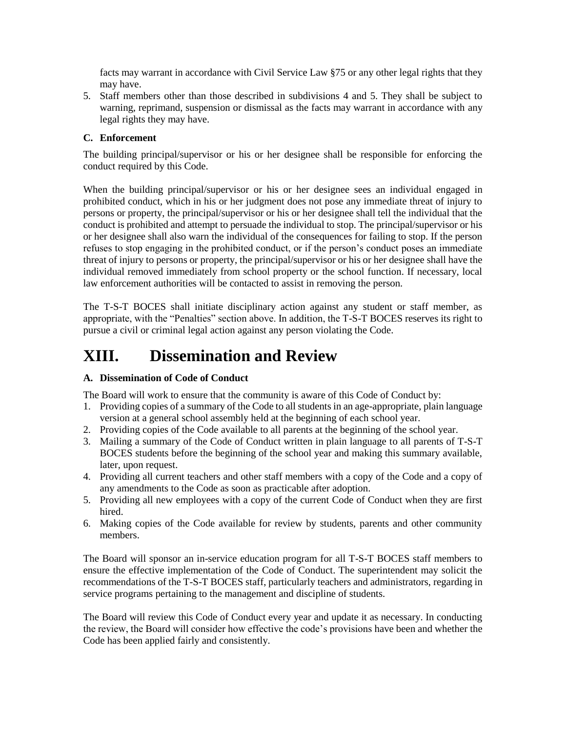facts may warrant in accordance with Civil Service Law §75 or any other legal rights that they may have.

5. Staff members other than those described in subdivisions 4 and 5. They shall be subject to warning, reprimand, suspension or dismissal as the facts may warrant in accordance with any legal rights they may have.

### **C. Enforcement**

The building principal/supervisor or his or her designee shall be responsible for enforcing the conduct required by this Code.

When the building principal/supervisor or his or her designee sees an individual engaged in prohibited conduct, which in his or her judgment does not pose any immediate threat of injury to persons or property, the principal/supervisor or his or her designee shall tell the individual that the conduct is prohibited and attempt to persuade the individual to stop. The principal/supervisor or his or her designee shall also warn the individual of the consequences for failing to stop. If the person refuses to stop engaging in the prohibited conduct, or if the person's conduct poses an immediate threat of injury to persons or property, the principal/supervisor or his or her designee shall have the individual removed immediately from school property or the school function. If necessary, local law enforcement authorities will be contacted to assist in removing the person.

The T-S-T BOCES shall initiate disciplinary action against any student or staff member, as appropriate, with the "Penalties" section above. In addition, the T-S-T BOCES reserves its right to pursue a civil or criminal legal action against any person violating the Code.

## **XIII. Dissemination and Review**

#### **A. Dissemination of Code of Conduct**

The Board will work to ensure that the community is aware of this Code of Conduct by:

- 1. Providing copies of a summary of the Code to all students in an age-appropriate, plain language version at a general school assembly held at the beginning of each school year.
- 2. Providing copies of the Code available to all parents at the beginning of the school year.
- 3. Mailing a summary of the Code of Conduct written in plain language to all parents of T-S-T BOCES students before the beginning of the school year and making this summary available, later, upon request.
- 4. Providing all current teachers and other staff members with a copy of the Code and a copy of any amendments to the Code as soon as practicable after adoption.
- 5. Providing all new employees with a copy of the current Code of Conduct when they are first hired.
- 6. Making copies of the Code available for review by students, parents and other community members.

The Board will sponsor an in-service education program for all T-S-T BOCES staff members to ensure the effective implementation of the Code of Conduct. The superintendent may solicit the recommendations of the T-S-T BOCES staff, particularly teachers and administrators, regarding in service programs pertaining to the management and discipline of students.

The Board will review this Code of Conduct every year and update it as necessary. In conducting the review, the Board will consider how effective the code's provisions have been and whether the Code has been applied fairly and consistently.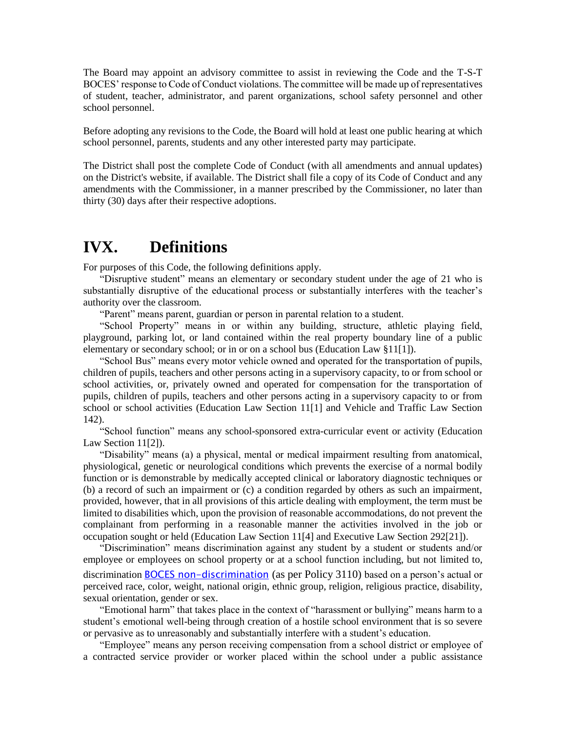The Board may appoint an advisory committee to assist in reviewing the Code and the T-S-T BOCES' response to Code of Conduct violations. The committee will be made up of representatives of student, teacher, administrator, and parent organizations, school safety personnel and other school personnel.

Before adopting any revisions to the Code, the Board will hold at least one public hearing at which school personnel, parents, students and any other interested party may participate.

The District shall post the complete Code of Conduct (with all amendments and annual updates) on the District's website, if available. The District shall file a copy of its Code of Conduct and any amendments with the Commissioner, in a manner prescribed by the Commissioner, no later than thirty (30) days after their respective adoptions.

## **IVX. Definitions**

For purposes of this Code, the following definitions apply.

"Disruptive student" means an elementary or secondary student under the age of 21 who is substantially disruptive of the educational process or substantially interferes with the teacher's authority over the classroom.

"Parent" means parent, guardian or person in parental relation to a student.

"School Property" means in or within any building, structure, athletic playing field, playground, parking lot, or land contained within the real property boundary line of a public elementary or secondary school; or in or on a school bus (Education Law §11[1]).

"School Bus" means every motor vehicle owned and operated for the transportation of pupils, children of pupils, teachers and other persons acting in a supervisory capacity, to or from school or school activities, or, privately owned and operated for compensation for the transportation of pupils, children of pupils, teachers and other persons acting in a supervisory capacity to or from school or school activities (Education Law Section 11[1] and Vehicle and Traffic Law Section 142).

"School function" means any school-sponsored extra-curricular event or activity (Education Law Section 11[2]).

"Disability" means (a) a physical, mental or medical impairment resulting from anatomical, physiological, genetic or neurological conditions which prevents the exercise of a normal bodily function or is demonstrable by medically accepted clinical or laboratory diagnostic techniques or (b) a record of such an impairment or (c) a condition regarded by others as such an impairment, provided, however, that in all provisions of this article dealing with employment, the term must be limited to disabilities which, upon the provision of reasonable accommodations, do not prevent the complainant from performing in a reasonable manner the activities involved in the job or occupation sought or held (Education Law Section 11[4] and Executive Law Section 292[21]).

"Discrimination" means discrimination against any student by a student or students and/or employee or employees on school property or at a school function including, but not limited to, discrimination **BOCES** non-discrimination (as per Policy 3110) based on a person's actual or perceived race, color, weight, national origin, ethnic group, religion, religious practice, disability, sexual orientation, gender or sex.

"Emotional harm" that takes place in the context of "harassment or bullying" means harm to a student's emotional well-being through creation of a hostile school environment that is so severe or pervasive as to unreasonably and substantially interfere with a student's education.

"Employee" means any person receiving compensation from a school district or employee of a contracted service provider or worker placed within the school under a public assistance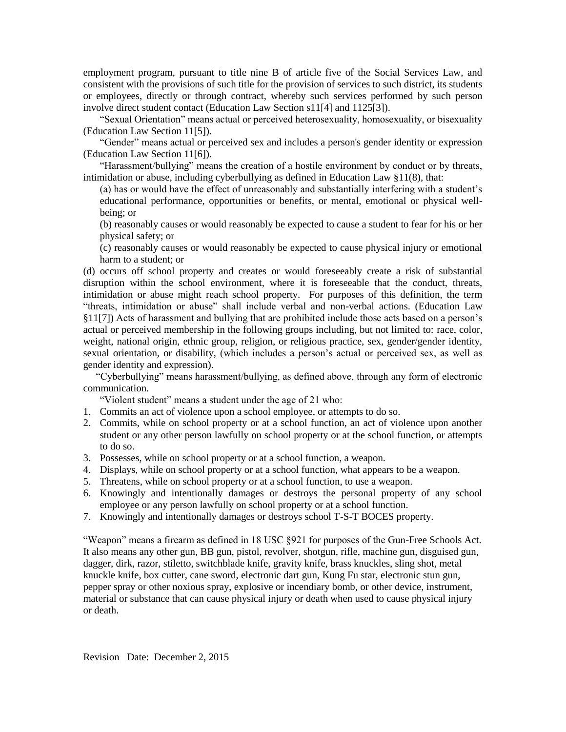employment program, pursuant to title nine B of article five of the Social Services Law, and consistent with the provisions of such title for the provision of services to such district, its students or employees, directly or through contract, whereby such services performed by such person involve direct student contact (Education Law Section s11[4] and 1125[3]).

"Sexual Orientation" means actual or perceived heterosexuality, homosexuality, or bisexuality (Education Law Section 11[5]).

"Gender" means actual or perceived sex and includes a person's gender identity or expression (Education Law Section 11[6]).

"Harassment/bullying" means the creation of a hostile environment by conduct or by threats, intimidation or abuse, including cyberbullying as defined in Education Law  $\S11(8)$ , that:

(a) has or would have the effect of unreasonably and substantially interfering with a student's educational performance, opportunities or benefits, or mental, emotional or physical wellbeing; or

(b) reasonably causes or would reasonably be expected to cause a student to fear for his or her physical safety; or

(c) reasonably causes or would reasonably be expected to cause physical injury or emotional harm to a student; or

(d) occurs off school property and creates or would foreseeably create a risk of substantial disruption within the school environment, where it is foreseeable that the conduct, threats, intimidation or abuse might reach school property. For purposes of this definition, the term "threats, intimidation or abuse" shall include verbal and non-verbal actions. (Education Law §11[7]) Acts of harassment and bullying that are prohibited include those acts based on a person's actual or perceived membership in the following groups including, but not limited to: race, color, weight, national origin, ethnic group, religion, or religious practice, sex, gender/gender identity, sexual orientation, or disability, (which includes a person's actual or perceived sex, as well as gender identity and expression).

 "Cyberbullying" means harassment/bullying, as defined above, through any form of electronic communication.

"Violent student" means a student under the age of 21 who:

- 1. Commits an act of violence upon a school employee, or attempts to do so.
- 2. Commits, while on school property or at a school function, an act of violence upon another student or any other person lawfully on school property or at the school function, or attempts to do so.
- 3. Possesses, while on school property or at a school function, a weapon.
- 4. Displays, while on school property or at a school function, what appears to be a weapon.
- 5. Threatens, while on school property or at a school function, to use a weapon.
- 6. Knowingly and intentionally damages or destroys the personal property of any school employee or any person lawfully on school property or at a school function.
- 7. Knowingly and intentionally damages or destroys school T-S-T BOCES property.

"Weapon" means a firearm as defined in 18 USC §921 for purposes of the Gun-Free Schools Act. It also means any other gun, BB gun, pistol, revolver, shotgun, rifle, machine gun, disguised gun, dagger, dirk, razor, stiletto, switchblade knife, gravity knife, brass knuckles, sling shot, metal knuckle knife, box cutter, cane sword, electronic dart gun, Kung Fu star, electronic stun gun, pepper spray or other noxious spray, explosive or incendiary bomb, or other device, instrument, material or substance that can cause physical injury or death when used to cause physical injury or death.